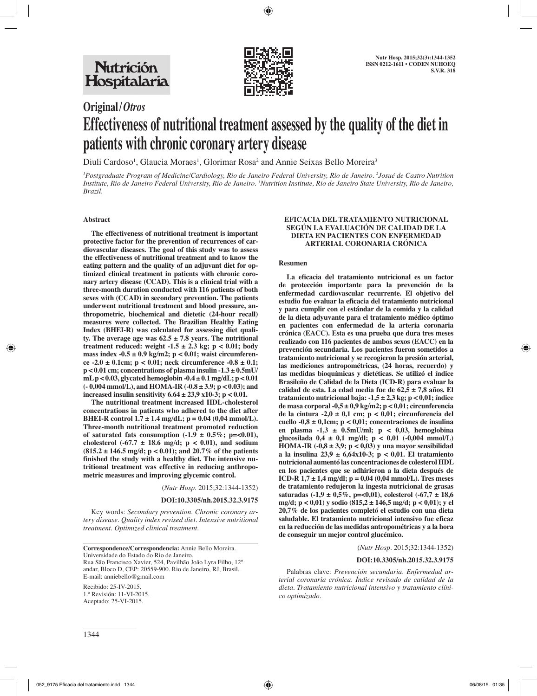

# **Original/***Otros* **Effectiveness of nutritional treatment assessed by the quality of the diet in patients with chronic coronary artery disease**

Diuli Cardoso<sup>1</sup>, Glaucia Moraes<sup>1</sup>, Glorimar Rosa<sup>2</sup> and Annie Seixas Bello Moreira<sup>3</sup>

*1 Postgraduate Program of Medicine/Cardiology, Rio de Janeiro Federal University, Rio de Janeiro. 2 Josué de Castro Nutrition Institute, Rio de Janeiro Federal University, Rio de Janeiro. 3 Nutrition Institute, Rio de Janeiro State University, Rio de Janeiro, Brazil.*

#### **Abstract**

**The effectiveness of nutritional treatment is important protective factor for the prevention of recurrences of cardiovascular diseases. The goal of this study was to assess the effectiveness of nutritional treatment and to know the eating pattern and the quality of an adjuvant diet for optimized clinical treatment in patients with chronic coronary artery disease (CCAD). This is a clinical trial with a three-month duration conducted with 116 patients of both sexes with (CCAD) in secondary prevention. The patients underwent nutritional treatment and blood pressure, anthropometric, biochemical and dietetic (24-hour recall) measures were collected. The Brazilian Healthy Eating Index (BHEI-R) was calculated for assessing diet quality. The average age was 62.5 ± 7.8 years. The nutritional treatment reduced: weight -1.5 ± 2.3 kg; p < 0.01; body mass index -0.5 ± 0.9 kg/m2; p < 0.01; waist circumference -2.0 ± 0.1cm; p < 0.01; neck circumference -0.8 ± 0.1; p < 0.01 cm; concentrations of plasma insulin -1.3 ± 0.5mU/ mL p < 0.03, glycated hemoglobin -0.4 ± 0.1 mg/dL; p < 0.01 (- 0,004 mmol/L), and HOMA-IR (-0.8 ± 3.9; p < 0.03); and increased insulin sensitivity 6.64 ± 23,9 x10-3; p < 0.01.** 

**The nutritional treatment increased HDL-cholesterol concentrations in patients who adhered to the diet after BHEI-R control 1.7 ± 1.4 mg/dL; p = 0.04 (0,04 mmol/L). Three-month nutritional treatment promoted reduction**  of saturated fats consumption  $(-1.9 \pm 0.5\%; \text{ p} = <0.01)$ , cholesterol  $(-67.7 \pm 18.6 \text{ mg/d}; \text{ p} < 0.01)$ , and sodium **(815.2 ± 146.5 mg/d; p < 0.01); and 20.7% of the patients finished the study with a healthy diet. The intensive nutritional treatment was effective in reducing anthropometric measures and improving glycemic control.**

(*Nutr Hosp.* 2015;32:1344-1352)

#### **DOI:10.3305/nh.2015.32.3.9175**

Key words: *Secondary prevention. Chronic coronary artery disease. Quality index revised diet. Intensive nutritional treatment. Optimized clinical treatment.*

**Correspondence/Correspondencia:** Annie Bello Moreira. Universidade do Estado do Rio de Janeiro. Rua São Francisco Xavier, 524, Pavilhão João Lyra Filho, 12º andar, Bloco D, CEP: 20559-900. Rio de Janeiro, RJ, Brasil. E-mail: anniebello@gmail.com

Recibido: 25-IV-2015. 1.ª Revisión: 11-VI-2015. Aceptado: 25-VI-2015.

#### **EFICACIA DEL TRATAMIENTO NUTRICIONAL SEGÚN LA EVALUACIÓN DE CALIDAD DE LA DIETA EN PACIENTES CON ENFERMEDAD ARTERIAL CORONARIA CRÓNICA**

#### **Resumen**

**La eficacia del tratamiento nutricional es un factor de protección importante para la prevención de la enfermedad cardiovascular recurrente. El objetivo del estudio fue evaluar la eficacia del tratamiento nutricional y para cumplir con el estándar de la comida y la calidad de la dieta adyuvante para el tratamiento médico óptimo en pacientes con enfermedad de la arteria coronaria crónica (EACC). Esta es una prueba que dura tres meses realizado con 116 pacientes de ambos sexos (EACC) en la prevención secundaria. Los pacientes fueron sometidos a tratamiento nutricional y se recogieron la presión arterial, las mediciones antropométricas, (24 horas, recuerdo) y las medidas bioquímicas y dietéticas. Se utilizó el índice Brasileño de Calidad de la Dieta (ICD-R) para evaluar la calidad de esta. La edad media fue de 62,5 ± 7,8 años. El tratamiento nutricional baja: -1,5 ± 2,3 kg; p < 0,01; índice de masa corporal -0,5 ± 0,9 kg/m2; p < 0,01; circunferencia de la cintura -2,0 ± 0,1 cm; p < 0,01; circunferencia del cuello -0,8 ± 0,1cm; p < 0,01; concentraciones de insulina en plasma -1,3 ± 0.5mU/ml; p < 0,03, hemoglobina**  glucosilada  $0.4 \pm 0.1$  mg/dl;  $p < 0.01$  (-0.004 mmol/L) **HOMA-IR (-0,8 ± 3,9; p < 0,03) y una mayor sensibilidad a la insulina 23,9 ± 6,64x10-3; p < 0,01. El tratamiento nutricional aumentó las concentraciones de colesterol HDL en los pacientes que se adhirieron a la dieta después de ICD-R 1,7 ± 1,4 mg/dl; p = 0,04 (0,04 mmol/L). Tres meses de tratamiento redujeron la ingesta nutricional de grasas saturadas (-1,9 ± 0,5%, p=<0,01), colesterol (-67,7 ± 18,6 mg/d; p < 0,01) y sodio (815,2 ± 146,5 mg/d; p < 0,01); y el 20,7% de los pacientes completó el estudio con una dieta saludable. El tratamiento nutricional intensivo fue eficaz en la reducción de las medidas antropométricas y a la hora de conseguir un mejor control glucémico.** 

#### (*Nutr Hosp.* 2015;32:1344-1352)

#### **DOI:10.3305/nh.2015.32.3.9175**

Palabras clave: *Prevención secundaria. Enfermedad arterial coronaria crónica. Índice revisado de calidad de la dieta. Tratamiento nutricional intensivo y tratamiento clínico optimizado.*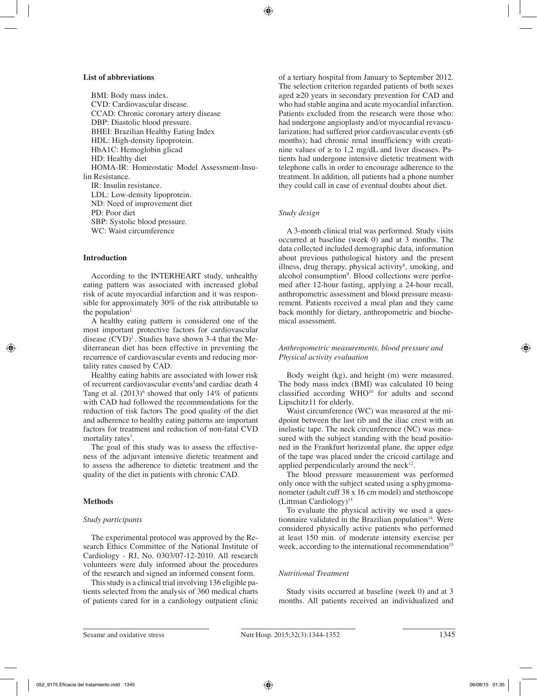#### **List of abbreviations**

BMI: Body mass index. CVD: Cardiovascular disease. CCAD: Chronic coronary artery disease DBP: Diastolic blood pressure. BHEI: Brazilian Healthy Eating Index HDL: High-density lipoprotein. HbA1C: Hemoglobin glicad HD: Healthy diet HOMA-IR: Homeostatic Model Assessment-Insulin Resistance. IR: Insulin resistance. LDL: Low-density lipoprotein. ND: Need of improvement diet PD: Poor diet SBP: Systolic blood pressure. WC: Waist circumference

## **Introduction**

According to the INTERHEART study, unhealthy eating pattern was associated with increased global risk of acute myocardial infarction and it was responsible for approximately 30% of the risk attributable to the population $<sup>1</sup>$ .</sup>

A healthy eating pattern is considered one of the most important protective factors for cardiovascular disease  $(CVD)^2$ . Studies have shown 3-4 that the Mediterranean diet has been effective in preventing the recurrence of cardiovascular events and reducing mortality rates caused by CAD.

Healthy eating habits are associated with lower risk of recurrent cardiovascular events<sup>5</sup> and cardiac death 4 Tang et al.  $(2013)^6$  showed that only 14% of patients with CAD had followed the recommendations for the reduction of risk factors The good quality of the diet and adherence to healthy eating patterns are important factors for treatment and reduction of non-fatal CVD mortality rates<sup>7</sup>.

The goal of this study was to assess the effectiveness of the adjuvant intensive dietetic treatment and to assess the adherence to dietetic treatment and the quality of the diet in patients with chronic CAD.

## **Methods**

## *Study participants*

The experimental protocol was approved by the Research Ethics Committee of the National Institute of Cardiology - RJ, No. 0303/07-12-2010. All research volunteers were duly informed about the procedures of the research and signed an informed consent form.

This study is a clinical trial involving 136 eligible patients selected from the analysis of 360 medical charts of patients cared for in a cardiology outpatient clinic of a tertiary hospital from January to September 2012. The selection criterion regarded patients of both sexes aged ≥20 years in secondary prevention for CAD and who had stable angina and acute myocardial infarction. Patients excluded from the research were those who: had undergone angioplasty and/or myocardial revascularization; had suffered prior cardiovascular events  $(\leq 6)$ months); had chronic renal insufficiency with creatinine values of  $\geq$  to 1,2 mg/dL and liver diseases. Patients had undergone intensive dietetic treatment with telephone calls in order to encourage adherence to the treatment. In addition, all patients had a phone number they could call in case of eventual doubts about diet.

## *Study design*

A 3-month clinical trial was performed. Study visits occurred at baseline (week 0) and at 3 months. The data collected included demographic data, information about previous pathological history and the present illness, drug therapy, physical activity<sup>8</sup>, smoking, and alcohol consumption<sup>9</sup>. Blood collections were performed after 12-hour fasting, applying a 24-hour recall, anthropometric assessment and blood pressure measurement. Patients received a meal plan and they came back monthly for dietary, anthropometric and biochemical assessment.

## *Anthropometric measurements, blood pressure and Physical activity evaluation*

Body weight (kg), and height (m) were measured. The body mass index (BMI) was calculated 10 being classified according WHO<sup>10</sup> for adults and second Lipschitz11 for elderly.

Waist circumference (WC) was measured at the midpoint between the last rib and the iliac crest with an inelastic tape. The neck circunference (NC) was measured with the subject standing with the head positioned in the Frankfurt horizontal plane, the upper edge of the tape was placed under the cricoid cartilage and applied perpendicularly around the  $neck<sup>12</sup>$ .

The blood pressure measurement was performed only once with the subject seated using a sphygmomanometer (adult cuff 38 x 16 cm model) and stethoscope  $(Littman Cardiology)^{13}$ 

To evaluate the physical activity we used a questionnaire validated in the Brazilian population $14$ . Were considered physically active patients who performed at least 150 min. of moderate intensity exercise per week, according to the international recommendation<sup>15</sup>

## *Nutritional Treatment*

Study visits occurred at baseline (week 0) and at 3 months. All patients received an individualized and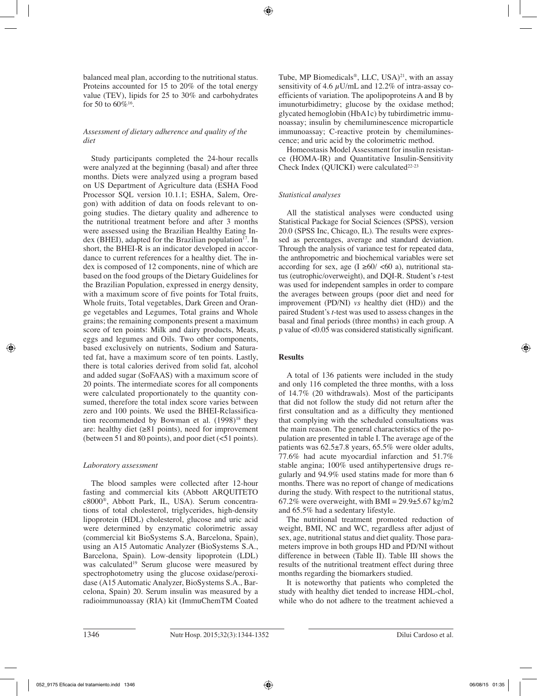balanced meal plan, according to the nutritional status. Proteins accounted for 15 to 20% of the total energy value (TEV), lipids for 25 to 30% and carbohydrates for 50 to  $60\%$ <sup>16</sup>.

# *Assessment of dietary adherence and quality of the diet*

Study participants completed the 24-hour recalls were analyzed at the beginning (basal) and after three months. Diets were analyzed using a program based on US Department of Agriculture data (ESHA Food Processor SQL version 10.1.1; ESHA, Salem, Oregon) with addition of data on foods relevant to ongoing studies. The dietary quality and adherence to the nutritional treatment before and after 3 months were assessed using the Brazilian Healthy Eating Index (BHEI), adapted for the Brazilian population<sup>17</sup>. In short, the BHEI-R is an indicator developed in accordance to current references for a healthy diet. The index is composed of 12 components, nine of which are based on the food groups of the Dietary Guidelines for the Brazilian Population, expressed in energy density, with a maximum score of five points for Total fruits, Whole fruits, Total vegetables, Dark Green and Orange vegetables and Legumes, Total grains and Whole grains; the remaining components present a maximum score of ten points: Milk and dairy products, Meats, eggs and legumes and Oils. Two other components, based exclusively on nutrients, Sodium and Saturated fat, have a maximum score of ten points. Lastly, there is total calories derived from solid fat, alcohol and added sugar (SoFAAS) with a maximum score of 20 points. The intermediate scores for all components were calculated proportionately to the quantity consumed, therefore the total index score varies between zero and 100 points. We used the BHEI-Rclassification recommended by Bowman et al. (1998)<sup>18</sup> they are: healthy diet ( $\geq 81$  points), need for improvement (between 51 and 80 points), and poor diet  $\left($  <51 points).

# *Laboratory assessment*

The blood samples were collected after 12-hour fasting and commercial kits (Abbott ARQUITETO c8000®, Abbott Park, IL, USA). Serum concentrations of total cholesterol, triglycerides, high-density lipoprotein (HDL) cholesterol, glucose and uric acid were determined by enzymatic colorimetric assay (commercial kit BioSystems S.A, Barcelona, Spain), using an A15 Automatic Analyzer **(**BioSystems S.A., Barcelona, Spain). Low-density lipoprotein (LDL) was calculated<sup>19</sup> Serum glucose were measured by spectrophotometry using the glucose oxidase/peroxidase (A15 Automatic Analyzer, BioSystems S.A., Barcelona, Spain) 20. Serum insulin was measured by a radioimmunoassay (RIA) kit (ImmuChemTM Coated Tube, MP Biomedicals®, LLC, USA) $^{21}$ , with an assay sensitivity of 4.6  $\mu$ U/mL and 12.2% of intra-assay coefficients of variation. The apolipoproteins A and B by imunoturbidimetry; glucose by the oxidase method; glycated hemoglobin (HbA1c) by tubirdimetric immunoassay; insulin by chemiluminescence microparticle immunoassay; C-reactive protein by chemiluminescence; and uric acid by the colorimetric method.

Homeostasis Model Assessment for insulin resistance (HOMA-IR) and Quantitative Insulin-Sensitivity Check Index (QUICKI) were calculated<sup>22-23</sup>

# *Statistical analyses*

All the statistical analyses were conducted using Statistical Package for Social Sciences (SPSS), version 20.0 (SPSS Inc, Chicago, IL). The results were expressed as percentages, average and standard deviation. Through the analysis of variance test for repeated data, the anthropometric and biochemical variables were set according for sex, age  $(I \ge 60 / \langle 60 \rangle a)$ , nutritional status (eutrophic/overweight), and DQI-R. Student's *t*-test was used for independent samples in order to compare the averages between groups (poor diet and need for improvement (PD/NI) *vs* healthy diet (HD)) and the paired Student's *t*-test was used to assess changes in the basal and final periods (three months) in each group. A p value of <0.05 was considered statistically significant.

# **Results**

A total of 136 patients were included in the study and only 116 completed the three months, with a loss of 14.7% (20 withdrawals). Most of the participants that did not follow the study did not return after the first consultation and as a difficulty they mentioned that complying with the scheduled consultations was the main reason. The general characteristics of the population are presented in table I. The average age of the patients was 62.5±7.8 years, 65.5% were older adults, 77.6% had acute myocardial infarction and 51.7% stable angina; 100% used antihypertensive drugs regularly and 94.9% used statins made for more than 6 months. There was no report of change of medications during the study. With respect to the nutritional status, 67.2% were overweight, with BMI =  $29.9\pm5.67$  kg/m2 and 65.5% had a sedentary lifestyle.

The nutritional treatment promoted reduction of weight, BMI, NC and WC, regardless after adjust of sex, age, nutritional status and diet quality. Those parameters improve in both groups HD and PD/NI without difference in between (Table II). Table III shows the results of the nutritional treatment effect during three months regarding the biomarkers studied.

It is noteworthy that patients who completed the study with healthy diet tended to increase HDL-chol, while who do not adhere to the treatment achieved a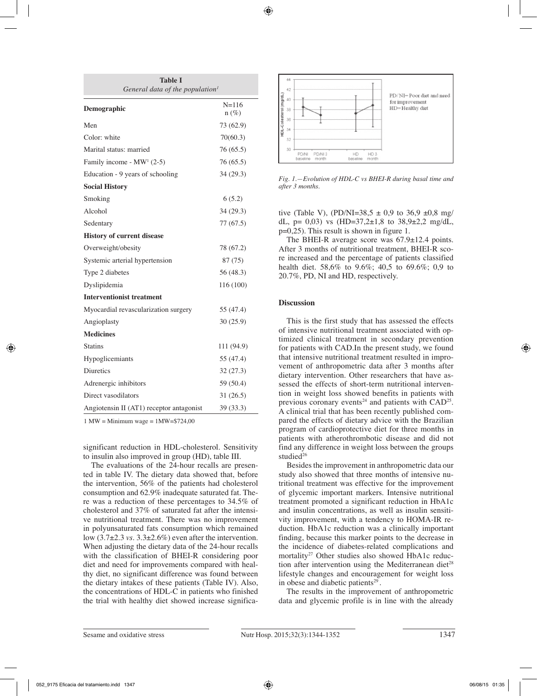| Table I<br>General data of the population <sup>1</sup> |                      |  |  |  |  |
|--------------------------------------------------------|----------------------|--|--|--|--|
| Demographic                                            | $N = 116$<br>$n(\%)$ |  |  |  |  |
| Men                                                    | 73 (62.9)            |  |  |  |  |
| Color: white                                           | 70(60.3)             |  |  |  |  |
| Marital status: married                                | 76 (65.5)            |  |  |  |  |
| Family income - $MW1$ (2-5)                            | 76 (65.5)            |  |  |  |  |
| Education - 9 years of schooling                       | 34(29.3)             |  |  |  |  |
| <b>Social History</b>                                  |                      |  |  |  |  |
| Smoking                                                | 6(5.2)               |  |  |  |  |
| Alcohol                                                | 34 (29.3)            |  |  |  |  |
| Sedentary                                              | 77 (67.5)            |  |  |  |  |
| <b>History of current disease</b>                      |                      |  |  |  |  |
| Overweight/obesity                                     | 78 (67.2)            |  |  |  |  |
| Systemic arterial hypertension                         | 87 (75)              |  |  |  |  |
| Type 2 diabetes                                        | 56 (48.3)            |  |  |  |  |
| Dyslipidemia                                           | 116 (100)            |  |  |  |  |
| <b>Interventionist treatment</b>                       |                      |  |  |  |  |
| Myocardial revascularization surgery                   | 55 (47.4)            |  |  |  |  |
| Angioplasty                                            | 30(25.9)             |  |  |  |  |
| <b>Medicines</b>                                       |                      |  |  |  |  |
| <b>Statins</b>                                         | 111 (94.9)           |  |  |  |  |
| Hypoglicemiants                                        | 55 (47.4)            |  |  |  |  |
| <b>Diuretics</b>                                       | 32(27.3)             |  |  |  |  |
| Adrenergic inhibitors                                  | 59 (50.4)            |  |  |  |  |
| Direct vasodilators                                    | 31(26.5)             |  |  |  |  |
| Angiotensin II (AT1) receptor antagonist               | 39 (33.3)            |  |  |  |  |

 $1 \text{ MW} = \text{Minimum wage} = 1 \text{MW} = $724,00$ 

significant reduction in HDL-cholesterol. Sensitivity to insulin also improved in group (HD), table III.

The evaluations of the 24-hour recalls are presented in table IV. The dietary data showed that, before the intervention, 56% of the patients had cholesterol consumption and 62.9% inadequate saturated fat. There was a reduction of these percentages to 34.5% of cholesterol and 37% of saturated fat after the intensive nutritional treatment. There was no improvement in polyunsaturated fats consumption which remained low (3.7±2.3 *vs.* 3.3±2.6%) even after the intervention. When adjusting the dietary data of the 24-hour recalls with the classification of BHEI-R considering poor diet and need for improvements compared with healthy diet, no significant difference was found between the dietary intakes of these patients (Table IV). Also, the concentrations of HDL-C in patients who finished the trial with healthy diet showed increase significa-



*Fig. 1.—Evolution of HDL-C vs BHEI-R during basal time and after 3 months.*

tive (Table V), (PD/NI=38.5  $\pm$  0.9 to 36.9  $\pm$ 0.8 mg/ dL,  $p= 0.03$ ) vs  $(HD=37,2\pm 1.8 \text{ to } 38.9\pm 2.2 \text{ mg/dL}$ , p=0,25). This result is shown in figure 1.

The BHEI-R average score was  $67.9 \pm 12.4$  points. After 3 months of nutritional treatment, BHEI-R score increased and the percentage of patients classified health diet. 58,6% to 9.6%; 40,5 to 69.6%; 0,9 to 20.7%, PD, NI and HD, respectively.

## **Discussion**

This is the first study that has assessed the effects of intensive nutritional treatment associated with optimized clinical treatment in secondary prevention for patients with CAD.In the present study, we found that intensive nutritional treatment resulted in improvement of anthropometric data after 3 months after dietary intervention. Other researchers that have assessed the effects of short-term nutritional intervention in weight loss showed benefits in patients with previous coronary events<sup>24</sup> and patients with  $CAD^{25}$ . A clinical trial that has been recently published compared the effects of dietary advice with the Brazilian program of cardioprotective diet for three months in patients with atherothrombotic disease and did not find any difference in weight loss between the groups studied<sup>26</sup>

Besides the improvement in anthropometric data our study also showed that three months of intensive nutritional treatment was effective for the improvement of glycemic important markers. Intensive nutritional treatment promoted a significant reduction in HbA1c and insulin concentrations, as well as insulin sensitivity improvement, with a tendency to HOMA-IR reduction. HbA1c reduction was a clinically important finding, because this marker points to the decrease in the incidence of diabetes-related complications and mortality<sup>27</sup> Other studies also showed HbA1c reduction after intervention using the Mediterranean diet<sup>28</sup> lifestyle changes and encouragement for weight loss in obese and diabetic patients $29$ .

The results in the improvement of anthropometric data and glycemic profile is in line with the already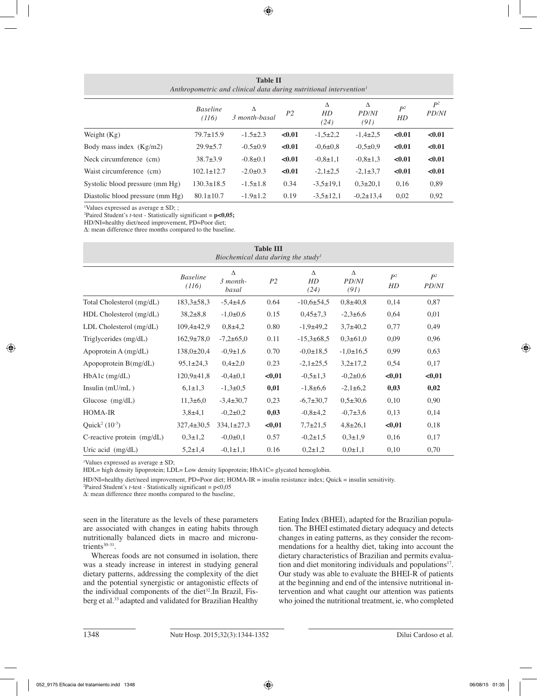| <b>Table II</b><br>Anthropometric and clinical data during nutritional intervention <sup>1</sup> |                          |                    |                |                 |                    |             |                       |
|--------------------------------------------------------------------------------------------------|--------------------------|--------------------|----------------|-----------------|--------------------|-------------|-----------------------|
|                                                                                                  | <b>Baseline</b><br>(116) | Δ<br>3 month-basal | P <sub>2</sub> | Л<br>HD<br>(24) | Δ<br>PD/NI<br>(91) | $P^2$<br>HD | $P^2$<br><b>PD/NI</b> |
| Weight $(Kg)$                                                                                    | $79.7 \pm 15.9$          | $-1.5\pm2.3$       | < 0.01         | $-1,5\pm2,2$    | $-1,4\pm 2,5$      | < 0.01      | < 0.01                |
| Body mass index $(Kg/m2)$                                                                        | $29.9 \pm 5.7$           | $-0.5+0.9$         | < 0.01         | $-0.6 \pm 0.8$  | $-0.5 \pm 0.9$     | < 0.01      | < 0.01                |
| Neck circumference (cm)                                                                          | $38.7 \pm 3.9$           | $-0.8\pm0.1$       | < 0.01         | $-0.8 \pm 1.1$  | $-0.8 \pm 1.3$     | < 0.01      | < 0.01                |
| Waist circumference (cm)                                                                         | $102.1 \pm 12.7$         | $-2.0 \pm 0.3$     | < 0.01         | $-2,1\pm 2,5$   | $-2,1\pm 3,7$      | < 0.01      | < 0.01                |
| Systolic blood pressure (mm Hg)                                                                  | $130.3 \pm 18.5$         | $-1.5 \pm 1.8$     | 0.34           | $-3,5\pm 19,1$  | $0.3 \pm 20.1$     | 0,16        | 0,89                  |
| Diastolic blood pressure (mm Hg)                                                                 | $80.1 \pm 10.7$          | $-1.9 \pm 1.2$     | 0.19           | $-3.5 \pm 12.1$ | $-0.2 \pm 13.4$    | 0,02        | 0,92                  |

1 Values expressed as average ± SD; ;

2 Paired Student's *t*-test - Statistically significant = **p<0,05;**

HD/NI=healthy diet/need improvement, PD=Poor diet;

Δ: mean difference three months compared to the baseline.

| <b>Table III</b><br>Biochemical data during the study <sup>1</sup> |                          |                          |                |                  |                                  |             |                |
|--------------------------------------------------------------------|--------------------------|--------------------------|----------------|------------------|----------------------------------|-------------|----------------|
|                                                                    | <b>Baseline</b><br>(116) | Δ<br>$3$ month-<br>basal | P <sub>2</sub> | Δ<br>HD<br>(24)  | $\Delta$<br><b>PD/NI</b><br>(91) | $P^2$<br>HD | $P^2$<br>PD/NI |
| Total Cholesterol (mg/dL)                                          | $183.3 \pm 58.3$         | $-5,4\pm4,6$             | 0.64           | $-10,6 \pm 54,5$ | $0,8{\pm}40,8$                   | 0,14        | 0,87           |
| HDL Cholesterol (mg/dL)                                            | $38,2 \pm 8,8$           | $-1,0{\pm}0,6$           | 0.15           | $0,45\pm7,3$     | $-2,3\pm 6,6$                    | 0,64        | 0,01           |
| $LDL$ Cholesterol $(mg/dL)$                                        | $109,4\pm 42,9$          | $0,8+4,2$                | 0.80           | $-1,9+49,2$      | $3,7\pm 40,2$                    | 0,77        | 0,49           |
| Triglycerides (mg/dL)                                              | $162.9 \pm 78.0$         | $-7,2\pm 65,0$           | 0.11           | $-15,3 \pm 68,5$ | $0.3 \pm 61.0$                   | 0,09        | 0,96           |
| Apoprotein $A$ (mg/dL)                                             | $138,0{\pm}20,4$         | $-0,9 \pm 1,6$           | 0.70           | $-0.0 \pm 18.5$  | $-1,0 \pm 16,5$                  | 0,99        | 0,63           |
| Apopoprotein $B(mg/dL)$                                            | $95,1\pm 24,3$           | $0,4{\pm}2,0$            | 0.23           | $-2,1\pm 25,5$   | $3,2\pm 17,2$                    | 0,54        | 0,17           |
| $HbA1c$ (mg/dL)                                                    | $120.9 \pm 41.8$         | $-0.4\pm 0.1$            | $0,01$         | $-0.5 \pm 1.3$   | $-0.2 \pm 0.6$                   | $0,01$      | < 0.01         |
| Insulin $(mU/mL)$                                                  | $6,1{\pm}1,3$            | $-1,3\pm0.5$             | 0,01           | $-1,8+6,6$       | $-2,1\pm6,2$                     | 0,03        | 0,02           |
| Glucose $(mg/dL)$                                                  | $11,3\pm 6,0$            | $-3,4\pm 30,7$           | 0,23           | $-6,7{\pm}30,7$  | $0.5 \pm 30.6$                   | 0,10        | 0,90           |
| <b>HOMA-IR</b>                                                     | $3,8+4,1$                | $-0,2\pm 0,2$            | 0,03           | $-0.8{\pm}4.2$   | $-0,7\pm3,6$                     | 0,13        | 0,14           |
| Quick <sup>2</sup> $(10^{-3})$                                     | $327,4 \pm 30,5$         | $334,1\pm27,3$           | $0,01$         | $7,7{\pm}21,5$   | $4,8{\pm}26,1$                   | $0,01$      | 0,18           |
| C-reactive protein $(mg/dL)$                                       | $0,3{\pm}1,2$            | $-0.0 \pm 0.1$           | 0.57           | $-0.2 \pm 1.5$   | $0.3 \pm 1.9$                    | 0,16        | 0,17           |
| Uric acid (mg/dL)                                                  | $5,2{\pm}1,4$            | $-0.1 \pm 1.1$           | 0.16           | $0,2{\pm}1,2$    | $0.0 \pm 1.1$                    | 0,10        | 0,70           |

1 Values expressed as average ± SD;

HDL= high density lipoprotein; LDL= Low density lipoprotein; HbA1C= glycated hemoglobin.

HD/NI=healthy diet/need improvement, PD=Poor diet; HOMA-IR = insulin resistance index; Quick = insulin sensitivity.

2 Paired Student's *t*-test - Statistically significant = p<0,05

Δ: mean difference three months compared to the baseline,

seen in the literature as the levels of these parameters are associated with changes in eating habits through nutritionally balanced diets in macro and micronutrients<sup>30-31</sup>.

Whereas foods are not consumed in isolation, there was a steady increase in interest in studying general dietary patterns, addressing the complexity of the diet and the potential synergistic or antagonistic effects of the individual components of the diet<sup>32</sup>.In Brazil, Fisberg et al.33 adapted and validated for Brazilian Healthy Eating Index (BHEI), adapted for the Brazilian population. The BHEI estimated dietary adequacy and detects changes in eating patterns, as they consider the recommendations for a healthy diet, taking into account the dietary characteristics of Brazilian and permits evaluation and diet monitoring individuals and populations<sup>17</sup>. Our study was able to evaluate the BHEI-R of patients at the beginning and end of the intensive nutritional intervention and what caught our attention was patients who joined the nutritional treatment, ie, who completed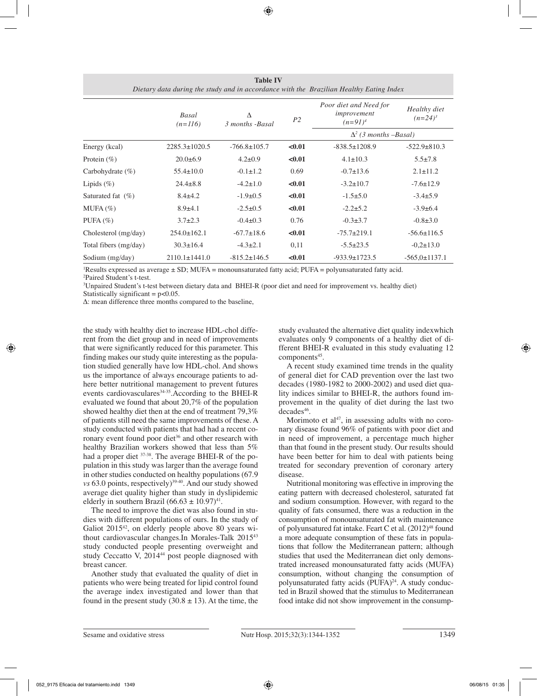| Dietary data during the study and in accordance with the Brazilian Healthy Eating Index |                     |                      |                |                                                     |                            |  |
|-----------------------------------------------------------------------------------------|---------------------|----------------------|----------------|-----------------------------------------------------|----------------------------|--|
|                                                                                         | Basal<br>$(n=116)$  | Δ<br>3 months -Basal | P <sub>2</sub> | Poor diet and Need for<br>improvement<br>$(n=91)^4$ | Healthy diet<br>$(n=24)^3$ |  |
|                                                                                         |                     |                      |                | $\Delta^2$ (3 months -Basal)                        |                            |  |
| Energy (kcal)                                                                           | $2285.3 \pm 1020.5$ | $-766.8 \pm 105.7$   | < 0.01         | $-838.5 \pm 1208.9$                                 | $-522.9 \pm 810.3$         |  |
| Protein $(\% )$                                                                         | $20.0+6.9$          | $4.2 \pm 0.9$        | < 0.01         | $4.1 \pm 10.3$                                      | $5.5 \pm 7.8$              |  |
| Carbohydrate $(\% )$                                                                    | $55.4 \pm 10.0$     | $-0.1 \pm 1.2$       | 0.69           | $-0.7 \pm 13.6$                                     | $2.1 \pm 11.2$             |  |
| Lipids $(\% )$                                                                          | $24.4 \pm 8.8$      | $-4.2 \pm 1.0$       | < 0.01         | $-3.2 \pm 10.7$                                     | $-7.6 \pm 12.9$            |  |
| Saturated fat $(\% )$                                                                   | $8.4 \pm 4.2$       | $-1.9 \pm 0.5$       | < 0.01         | $-1.5+5.0$                                          | $-3.4 \pm 5.9$             |  |
| $MUFA(\%)$                                                                              | $8.9{\pm}4.1$       | $-2.5 \pm 0.5$       | < 0.01         | $-2.2 \pm 5.2$                                      | $-3.9+6.4$                 |  |
| PUFA $(\% )$                                                                            | $3.7 \pm 2.3$       | $-0.4\pm0.3$         | 0.76           | $-0.3 \pm 3.7$                                      | $-0.8 \pm 3.0$             |  |
| Cholesterol (mg/day)                                                                    | $254.0 \pm 162.1$   | $-67.7 \pm 18.6$     | < 0.01         | $-75.7 \pm 219.1$                                   | $-56.6 \pm 116.5$          |  |
| Total fibers (mg/day)                                                                   | $30.3 \pm 16.4$     | $-4.3 \pm 2.1$       | 0,11           | $-5.5 \pm 23.5$                                     | $-0,2 \pm 13.0$            |  |
| Sodium (mg/day)                                                                         | $2110.1 \pm 1441.0$ | $-815.2 \pm 146.5$   | < 0.01         | $-933.9 \pm 1723.5$                                 | $-565,0 \pm 1137.1$        |  |

**Table IV** 

1 Results expressed as average ± SD; MUFA = monounsaturated fatty acid; PUFA = polyunsaturated fatty acid. 2 Paired Student's t-test.

3 Unpaired Student's t-test between dietary data and BHEI-R (poor diet and need for improvement vs. healthy diet) Statistically significant  $= p<0.05$ .

Δ: mean difference three months compared to the baseline,

the study with healthy diet to increase HDL-chol different from the diet group and in need of improvements that were significantly reduced for this parameter. This finding makes our study quite interesting as the population studied generally have low HDL-chol. And shows us the importance of always encourage patients to adhere better nutritional management to prevent futures events cardiovasculares $34-35$ . According to the BHEI-R evaluated we found that about 20,7% of the population showed healthy diet then at the end of treatment 79,3% of patients still need the same improvements of these. A study conducted with patients that had had a recent coronary event found poor diet<sup>36</sup> and other research with healthy Brazilian workers showed that less than 5% had a proper diet <sup>37-38</sup>. The average BHEI-R of the population in this study was larger than the average found in other studies conducted on healthy populations (67.9 *vs* 63.0 points, respectively)<sup>39-40</sup>. And our study showed average diet quality higher than study in dyslipidemic elderly in southern Brazil (66.63  $\pm$  10.97)<sup>41</sup>.

The need to improve the diet was also found in studies with different populations of ours. In the study of Galiot 2015<sup>42</sup>, on elderly people above 80 years without cardiovascular changes.In Morales-Talk 201543 study conducted people presenting overweight and study Ceccatto V, 2014<sup>44</sup> post people diagnosed with breast cancer.

Another study that evaluated the quality of diet in patients who were being treated for lipid control found the average index investigated and lower than that found in the present study  $(30.8 \pm 13)$ . At the time, the study evaluated the alternative diet quality indexwhich evaluates only 9 components of a healthy diet of different BHEI-R evaluated in this study evaluating 12 components<sup>45</sup>.

A recent study examined time trends in the quality of general diet for CAD prevention over the last two decades (1980-1982 to 2000-2002) and used diet quality indices similar to BHEI-R, the authors found improvement in the quality of diet during the last two decades<sup>46</sup>.

Morimoto et al<sup>47</sup>, in assessing adults with no coronary disease found 96% of patients with poor diet and in need of improvement, a percentage much higher than that found in the present study. Our results should have been better for him to deal with patients being treated for secondary prevention of coronary artery disease.

Nutritional monitoring was effective in improving the eating pattern with decreased cholesterol, saturated fat and sodium consumption. However, with regard to the quality of fats consumed, there was a reduction in the consumption of monounsaturated fat with maintenance of polyunsatured fat intake. Feart C et al.  $(2012)^{48}$  found a more adequate consumption of these fats in populations that follow the Mediterranean pattern; although studies that used the Mediterranean diet only demonstrated increased monounsaturated fatty acids (MUFA) consumption, without changing the consumption of polyunsaturated fatty acids  $(PUFA)^{24}$ . A study conducted in Brazil showed that the stimulus to Mediterranean food intake did not show improvement in the consump-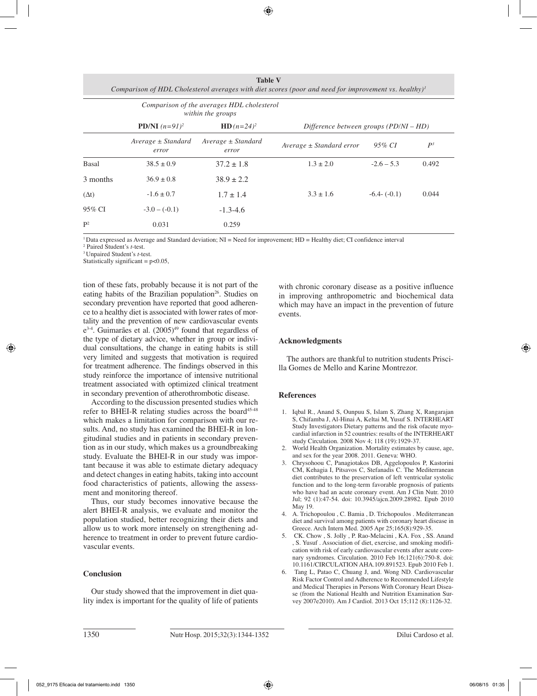| <b>Table V</b><br>Comparison of HDL Cholesterol averages with diet scores (poor and need for improvement vs. healthy) <sup>1</sup><br>Comparison of the averages HDL cholesterol<br>within the groups |                                 |                                 |                                        |               |       |  |  |
|-------------------------------------------------------------------------------------------------------------------------------------------------------------------------------------------------------|---------------------------------|---------------------------------|----------------------------------------|---------------|-------|--|--|
|                                                                                                                                                                                                       | <b>PD/NI</b> $(n=91)^2$         | <b>HD</b> $(n=24)^2$            | Difference between groups (PD/NI – HD) |               |       |  |  |
|                                                                                                                                                                                                       | $Average \pm Standard$<br>error | $Average \pm Standard$<br>error | $Average \pm Standard error$           | 95% CI        | $P^3$ |  |  |
| Basal                                                                                                                                                                                                 | $38.5 \pm 0.9$                  | $37.2 \pm 1.8$                  | $1.3 \pm 2.0$                          | $-2.6 - 5.3$  | 0.492 |  |  |
| 3 months                                                                                                                                                                                              | $36.9 \pm 0.8$                  | $38.9 \pm 2.2$                  |                                        |               |       |  |  |
| $(\Delta t)$                                                                                                                                                                                          | $-1.6 \pm 0.7$                  | $1.7 \pm 1.4$                   | $3.3 \pm 1.6$                          | $-6.4-(-0.1)$ | 0.044 |  |  |
| 95% CI                                                                                                                                                                                                | $-3.0 - (-0.1)$                 | $-1.3 - 4.6$                    |                                        |               |       |  |  |
| $\mathbf{P}^2$                                                                                                                                                                                        | 0.031                           | 0.259                           |                                        |               |       |  |  |

1 Data expressed as Average and Standard deviation; NI = Need for improvement; HD = Healthy diet; CI confidence interval

2 Paired Student's *t*-test.

3 Unpaired Student's *t*-test.

Statistically significant =  $p<0.05$ ,

tion of these fats, probably because it is not part of the eating habits of the Brazilian population<sup>26</sup>. Studies on secondary prevention have reported that good adherence to a healthy diet is associated with lower rates of mortality and the prevention of new cardiovascular events  $e^{3.4}$ . Guimarães et al.  $(2005)^{49}$  found that regardless of the type of dietary advice, whether in group or individual consultations, the change in eating habits is still very limited and suggests that motivation is required for treatment adherence. The findings observed in this study reinforce the importance of intensive nutritional treatment associated with optimized clinical treatment in secondary prevention of atherothrombotic disease.

According to the discussion presented studies which refer to BHEI-R relating studies across the board $45-48$ which makes a limitation for comparison with our results. And, no study has examined the BHEI-R in longitudinal studies and in patients in secondary prevention as in our study, which makes us a groundbreaking study. Evaluate the BHEI-R in our study was important because it was able to estimate dietary adequacy and detect changes in eating habits, taking into account food characteristics of patients, allowing the assessment and monitoring thereof.

Thus, our study becomes innovative because the alert BHEI-R analysis, we evaluate and monitor the population studied, better recognizing their diets and allow us to work more intensely on strengthening adherence to treatment in order to prevent future cardiovascular events.

## **Conclusion**

Our study showed that the improvement in diet quality index is important for the quality of life of patients with chronic coronary disease as a positive influence in improving anthropometric and biochemical data which may have an impact in the prevention of future events.

#### **Acknowledgments**

The authors are thankful to nutrition students Priscilla Gomes de Mello and Karine Montrezor.

#### **References**

- 1. Iqbal R., Anand S, Ounpuu S, Islam S, Zhang X, Rangarajan S, Chifamba J, Al-Hinai A, Keltai M, Yusuf S. INTERHEART Study Investigators Dietary patterns and the risk ofacute myocardial infarction in 52 countries: results of the INTERHEART study Circulation. 2008 Nov 4; 118 (19):1929-37.
- 2. World Health Organization. Mortality estimates by cause, age, and sex for the year 2008. 2011. Geneva: WHO.
- 3. Chrysohoou C, Panagiotakos DB, Aggelopoulos P, Kastorini CM, Kehagia I, Pitsavos C, Stefanadis C. The Mediterranean diet contributes to the preservation of left ventricular systolic function and to the long-term favorable prognosis of patients who have had an acute coronary event. Am J Clin Nutr. 2010 Jul; 92 (1):47-54. doi: 10.3945/ajcn.2009.28982. Epub 2010 May 19.
- 4. A. Trichopoulou , C. Bamia , D. Trichopoulos . Mediterranean diet and survival among patients with coronary heart disease in Greece. Arch Intern Med. 2005 Apr 25;165(8):929-35.
- 5. CK. Chow , S. Jolly , P. Rao-Melacini , KA. Fox , SS. Anand , S. Yusuf . Association of diet, exercise, and smoking modification with risk of early cardiovascular events after acute coronary syndromes. Circulation. 2010 Feb 16;121(6):750-8. doi: 10.1161/CIRCULATION AHA.109.891523. Epub 2010 Feb 1.
- 6. Tang L, Patao C, Chuang J, and. Wong ND. Cardiovascular Risk Factor Control and Adherence to Recommended Lifestyle and Medical Therapies in Persons With Coronary Heart Disease (from the National Health and Nutrition Examination Survey 2007e2010). Am J Cardiol. 2013 Oct 15;112 (8):1126-32.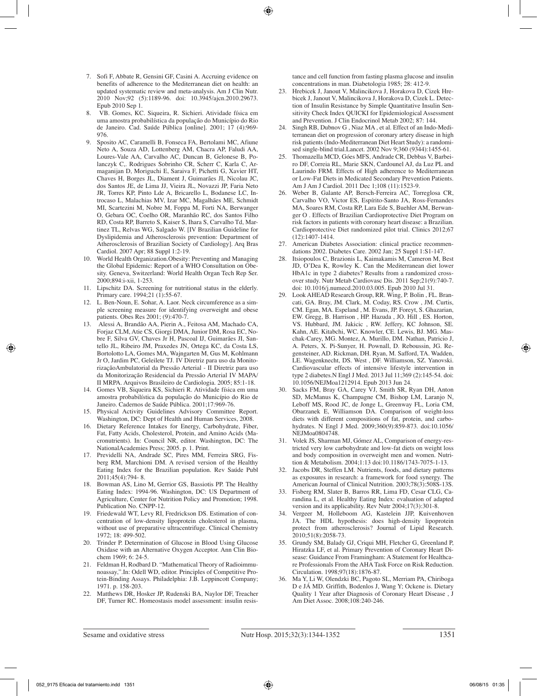- 7. Sofi F, Abbate R, Gensini GF, Casini A. Accruing evidence on benefits of adherence to the Mediterranean diet on health: an updated systematic review and meta-analysis. Am J Clin Nutr. 2010 Nov;92 (5):1189-96. doi: 10.3945/ajcn.2010.29673. Epub 2010 Sep 1.
- 8. VB. Gomes, KC. Siqueira, R. Sichieri. Atividade física em uma amostra probabilística da população do Município do Rio de Janeiro. Cad. Saúde Pública [online]. 2001; 17 (4):969- 976.
- 9. Sposito AC, Caramelli B, Fonseca FA, Bertolami MC, Afiune Neto A, Souza AD, Lottenberg AM, Chacra AP, Faludi AA, Loures-Vale AA, Carvalho AC, Duncan B, Gelonese B, Polanczyk C,. Rodrigues Sobrinho CR, Scherr C, Karla C, Armaganijan D, Moriguchi E, Saraiva F, Pichetti G, Xavier HT, Chaves H, Borges JL, Diament J, Guimarães JI, Nicolau JC, dos Santos JE, de Lima JJ, Vieira JL, Novazzi JP, Faria Neto JR, Torres KP, Pinto Lde A, Bricarello L, Bodanese LC, Introcaso L, Malachias MV, Izar MC, Magalhães ME, Schmidt MI, Scartezini M, Nobre M, Foppa M, Forti NA, Berwanger O, Gebara OC, Coelho OR, Maranhão RC, dos Santos Filho RD, Costa RP, Barreto S, Kaiser S, Ihara S, Carvalho Td, Martinez TL, Relvas WG, Salgado W. [IV Brazilian Guideline for Dyslipidemia and Atherosclerosis prevention: Department of Atherosclerosis of Brazilian Society of Cardiology]. Arq Bras Cardiol. 2007 Apr; 88 Suppl 1:2-19.
- 10. World Health Organization.Obesity: Preventing and Managing the Global Epidemic: Report of a WHO Consultation on Obesity. Geneva, Switzerland: World Health Organ Tech Rep Ser. 2000;894:i-xii, 1-253.
- 11. Lipschitz DA. Screening for nutritional status in the elderly. Primary care. 1994;21 (1):55-67.
- 12. L. Ben-Noun, E. Sohar, A. Laor. Neck circumference as a simple screening measure for identifying overweight and obese patients. Obes Res 2001; (9):470-7.
- 13. Alessi A, Brandão AA, Pierin A., Feitosa AM, Machado CA, Forjaz CLM, Atie CS, Giorgi DMA, Junior DM, Rosa EC, Nobre F, Silva GV, Chaves Jr H, Pascoal IJ, Guimarães JI, Santello JL, Ribeiro JM, Praxedes JN, Ortega KC, da Costa LS, Bortolotto LA, Gomes MA, Wajngarten M, Gus M, Kohlmann Jr O, Jardim PC, Geleilete TJ. IV Diretriz para uso da MonitorizaçãoAmbulatorial da Pressão Arterial - II Diretriz para uso da Monitorização Residencial da Pressão Arterial IV MAPA/ II MRPA. Arquivos Brasileiro de Cardiologia. 2005; 85:1-18.
- 14. Gomes VB, Siqueira KS, Sichieri R. Atividade física em uma amostra probabilística da população do Município do Rio de Janeiro. Cadernos de Saúde Pública. 2001;17:969-76.
- 15. Physical Activity Guidelines Advisory Committee Report. Washington, DC: Dept of Health and Human Services, 2008.
- 16. Dietary Reference Intakes for Energy, Carbohydrate, Fiber, Fat, Fatty Acids, Cholesterol, Protein, and Amino Acids (Macronutrients). In: Council NR, editor. Washington, DC: The NationalAcademies Press; 2005. p. 1. Print.
- 17. Previdelli NA, Andrade SC, Pires MM, Ferreira SRG, Fisberg RM, Marchioni DM. A revised version of the Healthy Eating Index for the Brazilian population. Rev Saúde Publ 2011;45(4):794- 8.
- 18. Bowman AS, Lino M, Gerrior GS, Bassiotis PP. The Healthy Eating Index: 1994-96. Washington, DC: US Department of Agriculture, Center for Nutrition Policy and Promotion; 1998. Publication No. CNPP-12.
- 19. Friedewald WT, Levy RI, Fredrickson DS. Estimation of concentration of low-density lipoprotein cholesterol in plasma, without use of preparative ultracentrifuge. Clinical Chemistry 1972; 18: 499-502.
- 20. Trinder P. Determination of Glucose in Blood Using Glucose Oxidase with an Alternative Oxygen Acceptor. Ann Clin Biochem 1969; 6: 24-5.
- 21. Feldman H, Rodbard D. "Mathematical Theory of Radioimmunoassay,".In: Odell WD, editor. Principles of Competitive Protein-Binding Assays. Philadelphia: J.B. Leppincott Company; 1971. p. 158-203.
- 22. Matthews DR, Hosker JP, Rudenski BA, Naylor DF, Treacher DF, Turner RC. Homeostasis model assessment: insulin resis-

tance and cell function from fasting plasma glucose and insulin concentrations in man. Diabetologia 1985; 28: 412-9.

- 23. Hrebicek J, Janout V, Malincikova J, Horakova D, Cizek Hrebicek J, Janout V, Malincikova J, Horakova D, Cizek J, Detection of Insulin Resistance by Simple Quantitative Insulin Sensitivity Check Index QUICKI for Epidemiological Assessment and Prevention. J Clin Endocrinol Metab 2002; 87: 144.
- 24. Singh RB, Dubnov G , Niaz MA , et al. Effect of an Indo-Mediterranean diet on progression of coronary artery disease in high risk patients (Indo-Mediterranean Diet Heart Study): a randomised single-blind trial.Lancet. 2002 Nov 9;360 (9344):1455-61.
- 25. Thomazella MCD, Góes MFS, Andrade CR, Debbas V, Barbeiro DF, Correia RL, Marie SKN, Cardounel AJ, da Luz PL and Laurindo FRM. Effects of High adherence to Mediterranean or Low-Fat Diets in Medicated Secondary Prevention Patients. Am J Am J Cardiol. 2011 Dec 1;108 (11):1523-9.
- 26. Weber B, Galante AP, Bersch-Ferreira AC, Torreglosa CR, Carvalho VO, Victor ES, Espírito-Santo JA, Ross-Fernandes MA, Soares RM, Costa RP, Lara Ede S, Buehler AM, Berwanger O . Effects of Brazilian Cardioprotective Diet Program on risk factors in patients with coronary heart disease: a Brazilian. Cardioprotective Diet randomized pilot trial. Clinics 2012;67 (12):1407-1414.
- 27. American Diabetes Association: clinical practice recommendations 2002. Diabetes Care. 2002 Jan; 25 Suppl 1:S1-147.
- 28. Itsiopoulos C, Brazionis L, Kaimakamis M, Cameron M, Best JD, O'Dea K, Rowley K. Can the Mediterranean diet lower HbA1c in type 2 diabetes? Results from a randomized crossover study. Nutr Metab Cardiovasc Dis. 2011 Sep;21(9):740-7. doi: 10.1016/j.numecd.2010.03.005. Epub 2010 Jul 31.
- Look AHEAD Research Group, RR. Wing, P. Bolin, FL. Brancati, GA. Bray, JM. Clark, M. Coday, RS. Crow , JM. Curtis, CM. Egan, MA. Espeland , M. Evans, JP. Foreyt, S. Ghazarian, EW. Gregg, B. Harrison , HP. Hazuda , JO. Hill , ES. Horton, VS. Hubbard, JM. Jakicic , RW. Jeffery, KC Johnson, SE. Kahn, AE. Kitabchi, WC. Knowler, CE. Lewis, BJ. MG. Maschak-Carey, MG. Montez, A. Murillo, DM. Nathan, Patricio J, A. Peters, X. Pi-Sunyer, H. Pownall, D. Reboussin, JG. Regensteiner, AD. Rickman, DH. Ryan, M. Safford, TA. Wadden, LE. Wagenknecht, DS. West , DF. Williamson, SZ. Yanovski. Cardiovascular effects of intensive lifestyle intervention in type 2 diabetes.N Engl J Med. 2013 Jul 11;369 (2):145-54. doi: 10.1056/NEJMoa1212914. Epub 2013 Jun 24.
- 30. Sacks FM, Bray GA, Carey VJ, Smith SR, Ryan DH, Anton SD, McManus K, Champagne CM, Bishop LM, Laranjo N, Leboff MS, Rood JC, de Jonge L, Greenway FL, Loria CM, Obarzanek E, Williamson DA. Comparison of weight-loss diets with different compositions of fat, protein, and carbohydrates. N Engl J Med. 2009;360(9):859-873. doi:10.1056/ NEJMoa0804748.
- 31. Volek JS, Sharman MJ, Gómez AL, Comparison of energy-restricted very low carbohydrate and low-fat diets on weight loss and body composition in overweight men and women. Nutrition & Metabolism. 2004;1:13 doi:10.1186/1743-7075-1-13.
- 32. Jacobs DR, Steffen LM. Nutrients, foods, and dietary patterns as exposures in research: a framework for food synergy. The American Journal of Clinical Nutrition. 2003;78(3):508S-13S.
- 33. Fisberg RM, Slater B, Barros RR, Lima FD, Cesar CLG, Carandina L, et al. Healthy Eating Index: evaluation of adapted version and its applicability. Rev Nutr 2004;17(3):301-8.
- 34. Vergeer M, Holleboom AG, Kastelein JJP, Kuivenhoven JA. The HDL hypothesis: does high-density lipoprotein protect from atherosclerosis? Journal of Lipid Research. 2010;51(8):2058-73.
- 35. Grundy SM, Balady GJ, Criqui MH, Fletcher G, Greenland P, Hiratzka LF, et al. Primary Prevention of Coronary Heart Disease: Guidance From Framingham: A Statement for Healthcare Professionals From the AHA Task Force on Risk Reduction. Circulation. 1998;97(18):1876-87.
- 36. Ma Y, Li W, Olendzki BC, Pagoto SL, Merriam PA, Chiriboga D e JÁ MD. Griffith, Bodenlos J, Wang Y; Ockene is. Dietary Quality 1 Year after Diagnosis of Coronary Heart Disease , J Am Diet Assoc. 2008;108:240-246.